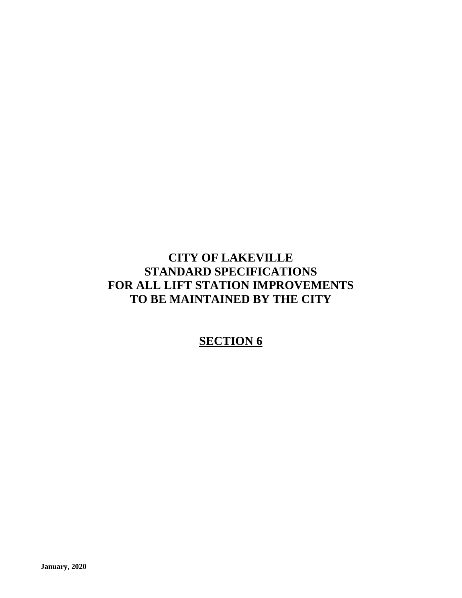# **CITY OF LAKEVILLE STANDARD SPECIFICATIONS FOR ALL LIFT STATION IMPROVEMENTS TO BE MAINTAINED BY THE CITY**

# **SECTION 6**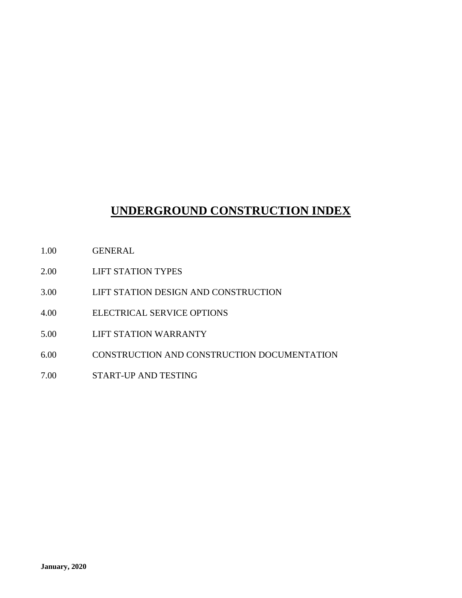# **UNDERGROUND CONSTRUCTION INDEX**

- 1.00 GENERAL
- 2.00 LIFT STATION TYPES
- 3.00 LIFT STATION DESIGN AND CONSTRUCTION
- 4.00 ELECTRICAL SERVICE OPTIONS
- 5.00 LIFT STATION WARRANTY
- 6.00 CONSTRUCTION AND CONSTRUCTION DOCUMENTATION
- 7.00 START-UP AND TESTING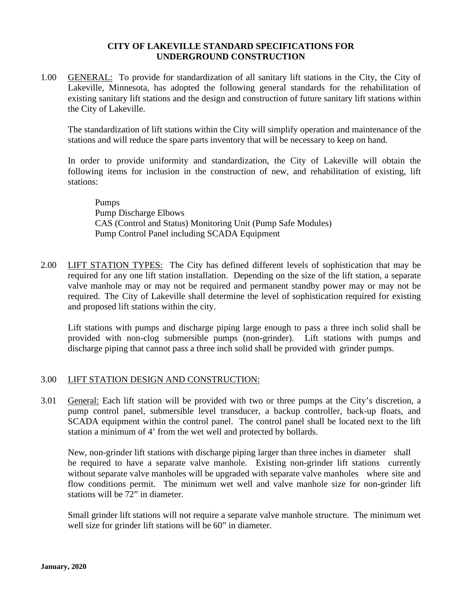### **CITY OF LAKEVILLE STANDARD SPECIFICATIONS FOR UNDERGROUND CONSTRUCTION**

1.00 GENERAL: To provide for standardization of all sanitary lift stations in the City, the City of Lakeville, Minnesota, has adopted the following general standards for the rehabilitation of existing sanitary lift stations and the design and construction of future sanitary lift stations within the City of Lakeville.

The standardization of lift stations within the City will simplify operation and maintenance of the stations and will reduce the spare parts inventory that will be necessary to keep on hand.

In order to provide uniformity and standardization, the City of Lakeville will obtain the following items for inclusion in the construction of new, and rehabilitation of existing, lift stations:

Pumps Pump Discharge Elbows CAS (Control and Status) Monitoring Unit (Pump Safe Modules) Pump Control Panel including SCADA Equipment

2.00 LIFT STATION TYPES: The City has defined different levels of sophistication that may be required for any one lift station installation. Depending on the size of the lift station, a separate valve manhole may or may not be required and permanent standby power may or may not be required. The City of Lakeville shall determine the level of sophistication required for existing and proposed lift stations within the city.

Lift stations with pumps and discharge piping large enough to pass a three inch solid shall be provided with non-clog submersible pumps (non-grinder). Lift stations with pumps and discharge piping that cannot pass a three inch solid shall be provided with grinder pumps.

## 3.00 LIFT STATION DESIGN AND CONSTRUCTION:

3.01 General: Each lift station will be provided with two or three pumps at the City's discretion, a pump control panel, submersible level transducer, a backup controller, back-up floats, and SCADA equipment within the control panel. The control panel shall be located next to the lift station a minimum of 4' from the wet well and protected by bollards.

New, non-grinder lift stations with discharge piping larger than three inches in diameter shall be required to have a separate valve manhole. Existing non-grinder lift stations currently without separate valve manholes will be upgraded with separate valve manholes where site and flow conditions permit. The minimum wet well and valve manhole size for non-grinder lift stations will be 72" in diameter.

Small grinder lift stations will not require a separate valve manhole structure. The minimum wet well size for grinder lift stations will be 60" in diameter.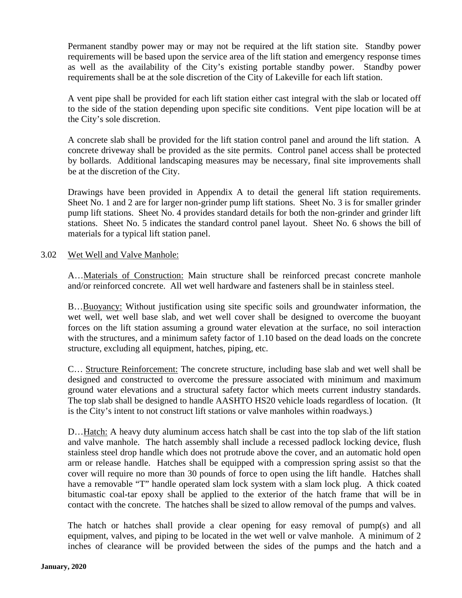Permanent standby power may or may not be required at the lift station site. Standby power requirements will be based upon the service area of the lift station and emergency response times as well as the availability of the City's existing portable standby power. Standby power requirements shall be at the sole discretion of the City of Lakeville for each lift station.

A vent pipe shall be provided for each lift station either cast integral with the slab or located off to the side of the station depending upon specific site conditions. Vent pipe location will be at the City's sole discretion.

A concrete slab shall be provided for the lift station control panel and around the lift station. A concrete driveway shall be provided as the site permits. Control panel access shall be protected by bollards. Additional landscaping measures may be necessary, final site improvements shall be at the discretion of the City.

Drawings have been provided in Appendix A to detail the general lift station requirements. Sheet No. 1 and 2 are for larger non-grinder pump lift stations. Sheet No. 3 is for smaller grinder pump lift stations. Sheet No. 4 provides standard details for both the non-grinder and grinder lift stations. Sheet No. 5 indicates the standard control panel layout. Sheet No. 6 shows the bill of materials for a typical lift station panel.

### 3.02 Wet Well and Valve Manhole:

A…Materials of Construction: Main structure shall be reinforced precast concrete manhole and/or reinforced concrete. All wet well hardware and fasteners shall be in stainless steel.

B…Buoyancy: Without justification using site specific soils and groundwater information, the wet well, wet well base slab, and wet well cover shall be designed to overcome the buoyant forces on the lift station assuming a ground water elevation at the surface, no soil interaction with the structures, and a minimum safety factor of 1.10 based on the dead loads on the concrete structure, excluding all equipment, hatches, piping, etc.

C… Structure Reinforcement: The concrete structure, including base slab and wet well shall be designed and constructed to overcome the pressure associated with minimum and maximum ground water elevations and a structural safety factor which meets current industry standards. The top slab shall be designed to handle AASHTO HS20 vehicle loads regardless of location. (It is the City's intent to not construct lift stations or valve manholes within roadways.)

D…Hatch: A heavy duty aluminum access hatch shall be cast into the top slab of the lift station and valve manhole. The hatch assembly shall include a recessed padlock locking device, flush stainless steel drop handle which does not protrude above the cover, and an automatic hold open arm or release handle. Hatches shall be equipped with a compression spring assist so that the cover will require no more than 30 pounds of force to open using the lift handle. Hatches shall have a removable "T" handle operated slam lock system with a slam lock plug. A thick coated bitumastic coal-tar epoxy shall be applied to the exterior of the hatch frame that will be in contact with the concrete. The hatches shall be sized to allow removal of the pumps and valves.

The hatch or hatches shall provide a clear opening for easy removal of pump(s) and all equipment, valves, and piping to be located in the wet well or valve manhole. A minimum of 2 inches of clearance will be provided between the sides of the pumps and the hatch and a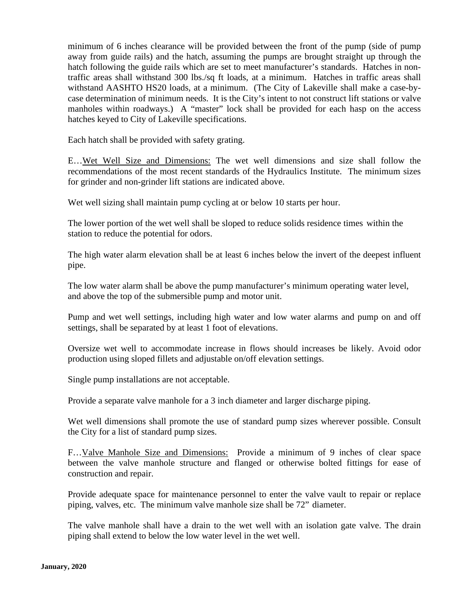minimum of 6 inches clearance will be provided between the front of the pump (side of pump away from guide rails) and the hatch, assuming the pumps are brought straight up through the hatch following the guide rails which are set to meet manufacturer's standards. Hatches in nontraffic areas shall withstand 300 lbs./sq ft loads, at a minimum. Hatches in traffic areas shall withstand AASHTO HS20 loads, at a minimum. (The City of Lakeville shall make a case-bycase determination of minimum needs. It is the City's intent to not construct lift stations or valve manholes within roadways.) A "master" lock shall be provided for each hasp on the access hatches keyed to City of Lakeville specifications.

Each hatch shall be provided with safety grating.

E…Wet Well Size and Dimensions: The wet well dimensions and size shall follow the recommendations of the most recent standards of the Hydraulics Institute. The minimum sizes for grinder and non-grinder lift stations are indicated above.

Wet well sizing shall maintain pump cycling at or below 10 starts per hour.

The lower portion of the wet well shall be sloped to reduce solids residence times within the station to reduce the potential for odors.

The high water alarm elevation shall be at least 6 inches below the invert of the deepest influent pipe.

The low water alarm shall be above the pump manufacturer's minimum operating water level, and above the top of the submersible pump and motor unit.

Pump and wet well settings, including high water and low water alarms and pump on and off settings, shall be separated by at least 1 foot of elevations.

Oversize wet well to accommodate increase in flows should increases be likely. Avoid odor production using sloped fillets and adjustable on/off elevation settings.

Single pump installations are not acceptable.

Provide a separate valve manhole for a 3 inch diameter and larger discharge piping.

Wet well dimensions shall promote the use of standard pump sizes wherever possible. Consult the City for a list of standard pump sizes.

F…Valve Manhole Size and Dimensions: Provide a minimum of 9 inches of clear space between the valve manhole structure and flanged or otherwise bolted fittings for ease of construction and repair.

Provide adequate space for maintenance personnel to enter the valve vault to repair or replace piping, valves, etc. The minimum valve manhole size shall be 72" diameter.

The valve manhole shall have a drain to the wet well with an isolation gate valve. The drain piping shall extend to below the low water level in the wet well.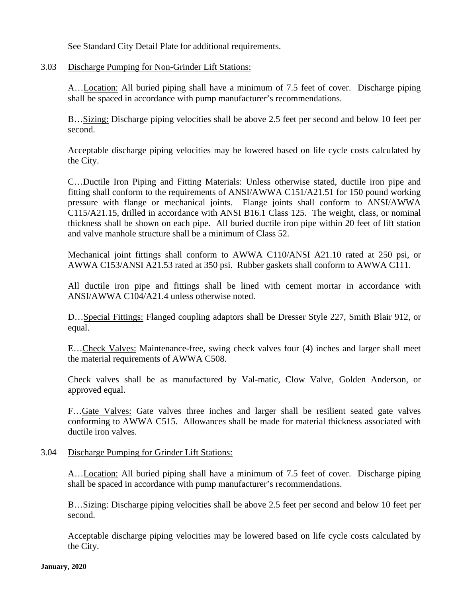See Standard City Detail Plate for additional requirements.

3.03 Discharge Pumping for Non-Grinder Lift Stations:

A…Location: All buried piping shall have a minimum of 7.5 feet of cover. Discharge piping shall be spaced in accordance with pump manufacturer's recommendations.

B…Sizing: Discharge piping velocities shall be above 2.5 feet per second and below 10 feet per second.

Acceptable discharge piping velocities may be lowered based on life cycle costs calculated by the City.

C…Ductile Iron Piping and Fitting Materials: Unless otherwise stated, ductile iron pipe and fitting shall conform to the requirements of ANSI/AWWA C151/A21.51 for 150 pound working pressure with flange or mechanical joints. Flange joints shall conform to ANSI/AWWA C115/A21.15, drilled in accordance with ANSI B16.1 Class 125. The weight, class, or nominal thickness shall be shown on each pipe. All buried ductile iron pipe within 20 feet of lift station and valve manhole structure shall be a minimum of Class 52.

Mechanical joint fittings shall conform to AWWA C110/ANSI A21.10 rated at 250 psi, or AWWA C153/ANSI A21.53 rated at 350 psi. Rubber gaskets shall conform to AWWA C111.

All ductile iron pipe and fittings shall be lined with cement mortar in accordance with ANSI/AWWA C104/A21.4 unless otherwise noted.

D…Special Fittings: Flanged coupling adaptors shall be Dresser Style 227, Smith Blair 912, or equal.

E…Check Valves: Maintenance-free, swing check valves four (4) inches and larger shall meet the material requirements of AWWA C508.

Check valves shall be as manufactured by Val-matic, Clow Valve, Golden Anderson, or approved equal.

F…Gate Valves: Gate valves three inches and larger shall be resilient seated gate valves conforming to AWWA C515. Allowances shall be made for material thickness associated with ductile iron valves.

### 3.04 Discharge Pumping for Grinder Lift Stations:

A…Location: All buried piping shall have a minimum of 7.5 feet of cover. Discharge piping shall be spaced in accordance with pump manufacturer's recommendations.

B…Sizing: Discharge piping velocities shall be above 2.5 feet per second and below 10 feet per second.

Acceptable discharge piping velocities may be lowered based on life cycle costs calculated by the City.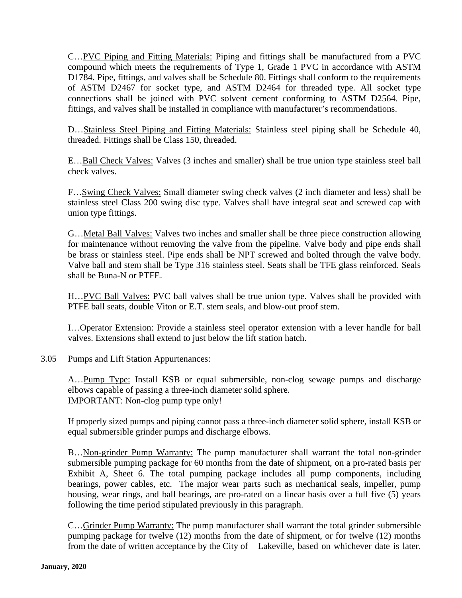C…PVC Piping and Fitting Materials: Piping and fittings shall be manufactured from a PVC compound which meets the requirements of Type 1, Grade 1 PVC in accordance with ASTM D1784. Pipe, fittings, and valves shall be Schedule 80. Fittings shall conform to the requirements of ASTM D2467 for socket type, and ASTM D2464 for threaded type. All socket type connections shall be joined with PVC solvent cement conforming to ASTM D2564. Pipe, fittings, and valves shall be installed in compliance with manufacturer's recommendations.

D…Stainless Steel Piping and Fitting Materials: Stainless steel piping shall be Schedule 40, threaded. Fittings shall be Class 150, threaded.

E…Ball Check Valves: Valves (3 inches and smaller) shall be true union type stainless steel ball check valves.

F…Swing Check Valves: Small diameter swing check valves (2 inch diameter and less) shall be stainless steel Class 200 swing disc type. Valves shall have integral seat and screwed cap with union type fittings.

G…Metal Ball Valves: Valves two inches and smaller shall be three piece construction allowing for maintenance without removing the valve from the pipeline. Valve body and pipe ends shall be brass or stainless steel. Pipe ends shall be NPT screwed and bolted through the valve body. Valve ball and stem shall be Type 316 stainless steel. Seats shall be TFE glass reinforced. Seals shall be Buna-N or PTFE.

H…PVC Ball Valves: PVC ball valves shall be true union type. Valves shall be provided with PTFE ball seats, double Viton or E.T. stem seals, and blow-out proof stem.

I…Operator Extension: Provide a stainless steel operator extension with a lever handle for ball valves. Extensions shall extend to just below the lift station hatch.

## 3.05 Pumps and Lift Station Appurtenances:

A…Pump Type: Install KSB or equal submersible, non-clog sewage pumps and discharge elbows capable of passing a three-inch diameter solid sphere. IMPORTANT: Non-clog pump type only!

If properly sized pumps and piping cannot pass a three-inch diameter solid sphere, install KSB or equal submersible grinder pumps and discharge elbows.

B…Non-grinder Pump Warranty: The pump manufacturer shall warrant the total non-grinder submersible pumping package for 60 months from the date of shipment, on a pro-rated basis per Exhibit A, Sheet 6. The total pumping package includes all pump components, including bearings, power cables, etc. The major wear parts such as mechanical seals, impeller, pump housing, wear rings, and ball bearings, are pro-rated on a linear basis over a full five (5) years following the time period stipulated previously in this paragraph.

C…Grinder Pump Warranty: The pump manufacturer shall warrant the total grinder submersible pumping package for twelve (12) months from the date of shipment, or for twelve (12) months from the date of written acceptance by the City of Lakeville, based on whichever date is later.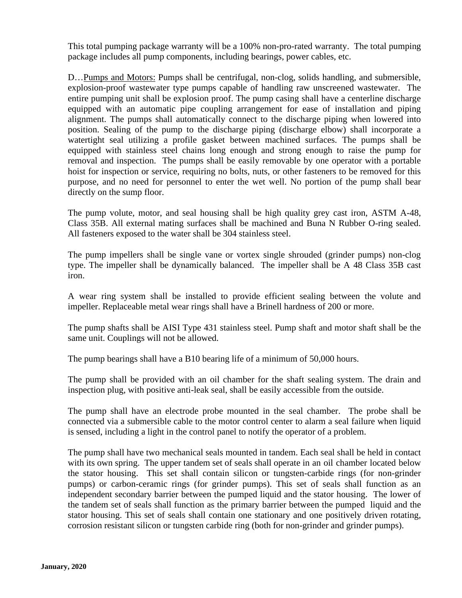This total pumping package warranty will be a 100% non-pro-rated warranty. The total pumping package includes all pump components, including bearings, power cables, etc.

D…Pumps and Motors: Pumps shall be centrifugal, non-clog, solids handling, and submersible, explosion-proof wastewater type pumps capable of handling raw unscreened wastewater. The entire pumping unit shall be explosion proof. The pump casing shall have a centerline discharge equipped with an automatic pipe coupling arrangement for ease of installation and piping alignment. The pumps shall automatically connect to the discharge piping when lowered into position. Sealing of the pump to the discharge piping (discharge elbow) shall incorporate a watertight seal utilizing a profile gasket between machined surfaces. The pumps shall be equipped with stainless steel chains long enough and strong enough to raise the pump for removal and inspection. The pumps shall be easily removable by one operator with a portable hoist for inspection or service, requiring no bolts, nuts, or other fasteners to be removed for this purpose, and no need for personnel to enter the wet well. No portion of the pump shall bear directly on the sump floor.

The pump volute, motor, and seal housing shall be high quality grey cast iron, ASTM A-48, Class 35B. All external mating surfaces shall be machined and Buna N Rubber O-ring sealed. All fasteners exposed to the water shall be 304 stainless steel.

The pump impellers shall be single vane or vortex single shrouded (grinder pumps) non-clog type. The impeller shall be dynamically balanced. The impeller shall be A 48 Class 35B cast iron.

A wear ring system shall be installed to provide efficient sealing between the volute and impeller. Replaceable metal wear rings shall have a Brinell hardness of 200 or more.

The pump shafts shall be AISI Type 431 stainless steel. Pump shaft and motor shaft shall be the same unit. Couplings will not be allowed.

The pump bearings shall have a B10 bearing life of a minimum of 50,000 hours.

The pump shall be provided with an oil chamber for the shaft sealing system. The drain and inspection plug, with positive anti-leak seal, shall be easily accessible from the outside.

The pump shall have an electrode probe mounted in the seal chamber. The probe shall be connected via a submersible cable to the motor control center to alarm a seal failure when liquid is sensed, including a light in the control panel to notify the operator of a problem.

The pump shall have two mechanical seals mounted in tandem. Each seal shall be held in contact with its own spring. The upper tandem set of seals shall operate in an oil chamber located below the stator housing. This set shall contain silicon or tungsten-carbide rings (for non-grinder pumps) or carbon-ceramic rings (for grinder pumps). This set of seals shall function as an independent secondary barrier between the pumped liquid and the stator housing. The lower of the tandem set of seals shall function as the primary barrier between the pumped liquid and the stator housing. This set of seals shall contain one stationary and one positively driven rotating, corrosion resistant silicon or tungsten carbide ring (both for non-grinder and grinder pumps).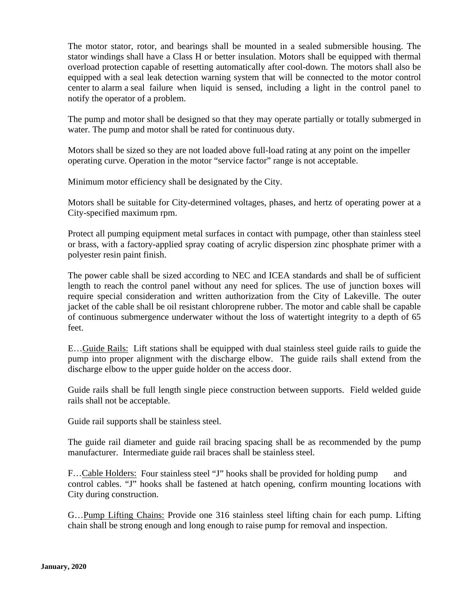The motor stator, rotor, and bearings shall be mounted in a sealed submersible housing. The stator windings shall have a Class H or better insulation. Motors shall be equipped with thermal overload protection capable of resetting automatically after cool-down. The motors shall also be equipped with a seal leak detection warning system that will be connected to the motor control center to alarm a seal failure when liquid is sensed, including a light in the control panel to notify the operator of a problem.

The pump and motor shall be designed so that they may operate partially or totally submerged in water. The pump and motor shall be rated for continuous duty.

Motors shall be sized so they are not loaded above full-load rating at any point on the impeller operating curve. Operation in the motor "service factor" range is not acceptable.

Minimum motor efficiency shall be designated by the City.

Motors shall be suitable for City-determined voltages, phases, and hertz of operating power at a City-specified maximum rpm.

Protect all pumping equipment metal surfaces in contact with pumpage, other than stainless steel or brass, with a factory-applied spray coating of acrylic dispersion zinc phosphate primer with a polyester resin paint finish.

The power cable shall be sized according to NEC and ICEA standards and shall be of sufficient length to reach the control panel without any need for splices. The use of junction boxes will require special consideration and written authorization from the City of Lakeville. The outer jacket of the cable shall be oil resistant chloroprene rubber. The motor and cable shall be capable of continuous submergence underwater without the loss of watertight integrity to a depth of 65 feet.

E…Guide Rails: Lift stations shall be equipped with dual stainless steel guide rails to guide the pump into proper alignment with the discharge elbow. The guide rails shall extend from the discharge elbow to the upper guide holder on the access door.

Guide rails shall be full length single piece construction between supports. Field welded guide rails shall not be acceptable.

Guide rail supports shall be stainless steel.

The guide rail diameter and guide rail bracing spacing shall be as recommended by the pump manufacturer. Intermediate guide rail braces shall be stainless steel.

F...Cable Holders: Four stainless steel "J" hooks shall be provided for holding pump and control cables. "J" hooks shall be fastened at hatch opening, confirm mounting locations with City during construction.

G…Pump Lifting Chains: Provide one 316 stainless steel lifting chain for each pump. Lifting chain shall be strong enough and long enough to raise pump for removal and inspection.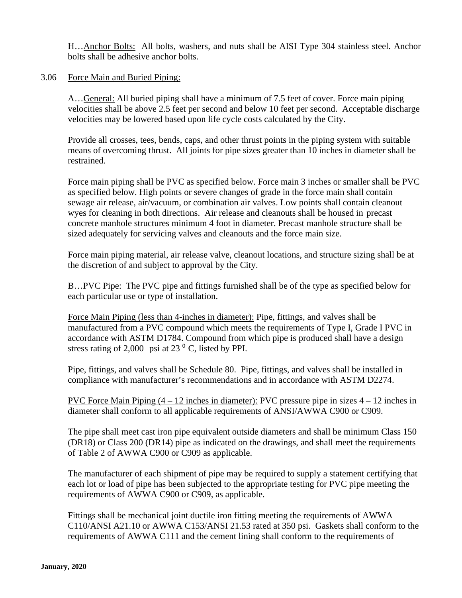H…Anchor Bolts: All bolts, washers, and nuts shall be AISI Type 304 stainless steel. Anchor bolts shall be adhesive anchor bolts.

#### 3.06 Force Main and Buried Piping:

A…General: All buried piping shall have a minimum of 7.5 feet of cover. Force main piping velocities shall be above 2.5 feet per second and below 10 feet per second. Acceptable discharge velocities may be lowered based upon life cycle costs calculated by the City.

Provide all crosses, tees, bends, caps, and other thrust points in the piping system with suitable means of overcoming thrust. All joints for pipe sizes greater than 10 inches in diameter shall be restrained.

Force main piping shall be PVC as specified below. Force main 3 inches or smaller shall be PVC as specified below. High points or severe changes of grade in the force main shall contain sewage air release, air/vacuum, or combination air valves. Low points shall contain cleanout wyes for cleaning in both directions. Air release and cleanouts shall be housed in precast concrete manhole structures minimum 4 foot in diameter. Precast manhole structure shall be sized adequately for servicing valves and cleanouts and the force main size.

Force main piping material, air release valve, cleanout locations, and structure sizing shall be at the discretion of and subject to approval by the City.

B... PVC Pipe: The PVC pipe and fittings furnished shall be of the type as specified below for each particular use or type of installation.

Force Main Piping (less than 4-inches in diameter): Pipe, fittings, and valves shall be manufactured from a PVC compound which meets the requirements of Type I, Grade I PVC in accordance with ASTM D1784. Compound from which pipe is produced shall have a design stress rating of 2,000 psi at 23 $\degree$  C, listed by PPI.

Pipe, fittings, and valves shall be Schedule 80. Pipe, fittings, and valves shall be installed in compliance with manufacturer's recommendations and in accordance with ASTM D2274.

PVC Force Main Piping  $(4 - 12)$  inches in diameter): PVC pressure pipe in sizes  $4 - 12$  inches in diameter shall conform to all applicable requirements of ANSI/AWWA C900 or C909.

The pipe shall meet cast iron pipe equivalent outside diameters and shall be minimum Class 150 (DR18) or Class 200 (DR14) pipe as indicated on the drawings, and shall meet the requirements of Table 2 of AWWA C900 or C909 as applicable.

The manufacturer of each shipment of pipe may be required to supply a statement certifying that each lot or load of pipe has been subjected to the appropriate testing for PVC pipe meeting the requirements of AWWA C900 or C909, as applicable.

Fittings shall be mechanical joint ductile iron fitting meeting the requirements of AWWA C110/ANSI A21.10 or AWWA C153/ANSI 21.53 rated at 350 psi. Gaskets shall conform to the requirements of AWWA C111 and the cement lining shall conform to the requirements of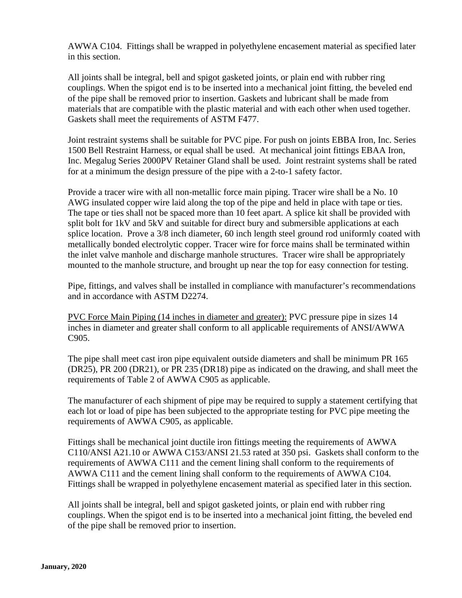AWWA C104. Fittings shall be wrapped in polyethylene encasement material as specified later in this section.

All joints shall be integral, bell and spigot gasketed joints, or plain end with rubber ring couplings. When the spigot end is to be inserted into a mechanical joint fitting, the beveled end of the pipe shall be removed prior to insertion. Gaskets and lubricant shall be made from materials that are compatible with the plastic material and with each other when used together. Gaskets shall meet the requirements of ASTM F477.

Joint restraint systems shall be suitable for PVC pipe. For push on joints EBBA Iron, Inc. Series 1500 Bell Restraint Harness, or equal shall be used. At mechanical joint fittings EBAA Iron, Inc. Megalug Series 2000PV Retainer Gland shall be used. Joint restraint systems shall be rated for at a minimum the design pressure of the pipe with a 2-to-1 safety factor.

Provide a tracer wire with all non-metallic force main piping. Tracer wire shall be a No. 10 AWG insulated copper wire laid along the top of the pipe and held in place with tape or ties. The tape or ties shall not be spaced more than 10 feet apart. A splice kit shall be provided with split bolt for 1kV and 5kV and suitable for direct bury and submersible applications at each splice location. Prove a 3/8 inch diameter, 60 inch length steel ground rod uniformly coated with metallically bonded electrolytic copper. Tracer wire for force mains shall be terminated within the inlet valve manhole and discharge manhole structures. Tracer wire shall be appropriately mounted to the manhole structure, and brought up near the top for easy connection for testing.

Pipe, fittings, and valves shall be installed in compliance with manufacturer's recommendations and in accordance with ASTM D2274.

PVC Force Main Piping (14 inches in diameter and greater): PVC pressure pipe in sizes 14 inches in diameter and greater shall conform to all applicable requirements of ANSI/AWWA C905.

The pipe shall meet cast iron pipe equivalent outside diameters and shall be minimum PR 165 (DR25), PR 200 (DR21), or PR 235 (DR18) pipe as indicated on the drawing, and shall meet the requirements of Table 2 of AWWA C905 as applicable.

The manufacturer of each shipment of pipe may be required to supply a statement certifying that each lot or load of pipe has been subjected to the appropriate testing for PVC pipe meeting the requirements of AWWA C905, as applicable.

Fittings shall be mechanical joint ductile iron fittings meeting the requirements of AWWA C110/ANSI A21.10 or AWWA C153/ANSI 21.53 rated at 350 psi. Gaskets shall conform to the requirements of AWWA C111 and the cement lining shall conform to the requirements of AWWA C111 and the cement lining shall conform to the requirements of AWWA C104. Fittings shall be wrapped in polyethylene encasement material as specified later in this section.

All joints shall be integral, bell and spigot gasketed joints, or plain end with rubber ring couplings. When the spigot end is to be inserted into a mechanical joint fitting, the beveled end of the pipe shall be removed prior to insertion.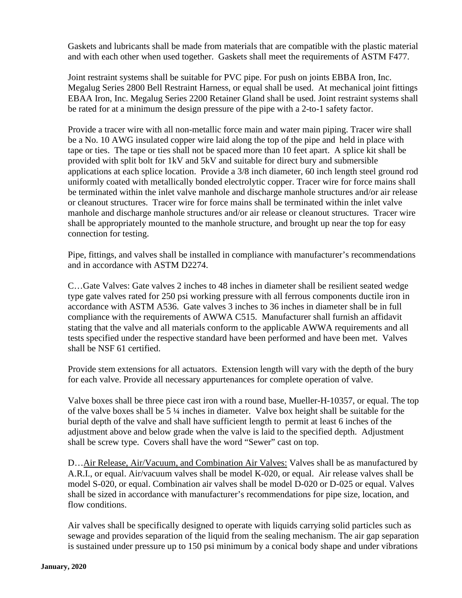Gaskets and lubricants shall be made from materials that are compatible with the plastic material and with each other when used together. Gaskets shall meet the requirements of ASTM F477.

Joint restraint systems shall be suitable for PVC pipe. For push on joints EBBA Iron, Inc. Megalug Series 2800 Bell Restraint Harness, or equal shall be used. At mechanical joint fittings EBAA Iron, Inc. Megalug Series 2200 Retainer Gland shall be used. Joint restraint systems shall be rated for at a minimum the design pressure of the pipe with a 2-to-1 safety factor.

Provide a tracer wire with all non-metallic force main and water main piping. Tracer wire shall be a No. 10 AWG insulated copper wire laid along the top of the pipe and held in place with tape or ties. The tape or ties shall not be spaced more than 10 feet apart. A splice kit shall be provided with split bolt for 1kV and 5kV and suitable for direct bury and submersible applications at each splice location. Provide a 3/8 inch diameter, 60 inch length steel ground rod uniformly coated with metallically bonded electrolytic copper. Tracer wire for force mains shall be terminated within the inlet valve manhole and discharge manhole structures and/or air release or cleanout structures. Tracer wire for force mains shall be terminated within the inlet valve manhole and discharge manhole structures and/or air release or cleanout structures. Tracer wire shall be appropriately mounted to the manhole structure, and brought up near the top for easy connection for testing.

Pipe, fittings, and valves shall be installed in compliance with manufacturer's recommendations and in accordance with ASTM D2274.

C…Gate Valves: Gate valves 2 inches to 48 inches in diameter shall be resilient seated wedge type gate valves rated for 250 psi working pressure with all ferrous components ductile iron in accordance with ASTM A536. Gate valves 3 inches to 36 inches in diameter shall be in full compliance with the requirements of AWWA C515. Manufacturer shall furnish an affidavit stating that the valve and all materials conform to the applicable AWWA requirements and all tests specified under the respective standard have been performed and have been met. Valves shall be NSF 61 certified.

Provide stem extensions for all actuators. Extension length will vary with the depth of the bury for each valve. Provide all necessary appurtenances for complete operation of valve.

Valve boxes shall be three piece cast iron with a round base, Mueller-H-10357, or equal. The top of the valve boxes shall be 5 ¼ inches in diameter. Valve box height shall be suitable for the burial depth of the valve and shall have sufficient length to permit at least 6 inches of the adjustment above and below grade when the valve is laid to the specified depth. Adjustment shall be screw type. Covers shall have the word "Sewer" cast on top.

D... Air Release, Air/Vacuum, and Combination Air Valves: Valves shall be as manufactured by A.R.I., or equal. Air/vacuum valves shall be model K-020, or equal. Air release valves shall be model S-020, or equal. Combination air valves shall be model D-020 or D-025 or equal. Valves shall be sized in accordance with manufacturer's recommendations for pipe size, location, and flow conditions.

Air valves shall be specifically designed to operate with liquids carrying solid particles such as sewage and provides separation of the liquid from the sealing mechanism. The air gap separation is sustained under pressure up to 150 psi minimum by a conical body shape and under vibrations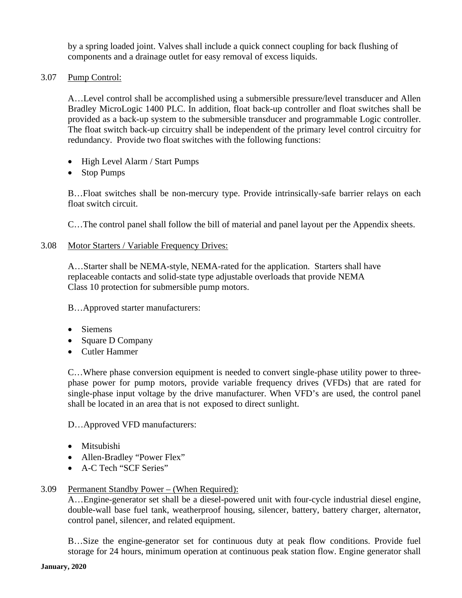by a spring loaded joint. Valves shall include a quick connect coupling for back flushing of components and a drainage outlet for easy removal of excess liquids.

3.07 Pump Control:

A…Level control shall be accomplished using a submersible pressure/level transducer and Allen Bradley MicroLogic 1400 PLC. In addition, float back-up controller and float switches shall be provided as a back-up system to the submersible transducer and programmable Logic controller. The float switch back-up circuitry shall be independent of the primary level control circuitry for redundancy. Provide two float switches with the following functions:

- High Level Alarm / Start Pumps
- Stop Pumps

B…Float switches shall be non-mercury type. Provide intrinsically-safe barrier relays on each float switch circuit.

C…The control panel shall follow the bill of material and panel layout per the Appendix sheets.

### 3.08 Motor Starters / Variable Frequency Drives:

A…Starter shall be NEMA-style, NEMA-rated for the application. Starters shall have replaceable contacts and solid-state type adjustable overloads that provide NEMA Class 10 protection for submersible pump motors.

B…Approved starter manufacturers:

- Siemens
- Square D Company
- Cutler Hammer

C…Where phase conversion equipment is needed to convert single-phase utility power to threephase power for pump motors, provide variable frequency drives (VFDs) that are rated for single-phase input voltage by the drive manufacturer. When VFD's are used, the control panel shall be located in an area that is not exposed to direct sunlight.

D…Approved VFD manufacturers:

- Mitsubishi
- Allen-Bradley "Power Flex"
- A-C Tech "SCF Series"

### 3.09 Permanent Standby Power – (When Required):

A…Engine-generator set shall be a diesel-powered unit with four-cycle industrial diesel engine, double-wall base fuel tank, weatherproof housing, silencer, battery, battery charger, alternator, control panel, silencer, and related equipment.

B…Size the engine-generator set for continuous duty at peak flow conditions. Provide fuel storage for 24 hours, minimum operation at continuous peak station flow. Engine generator shall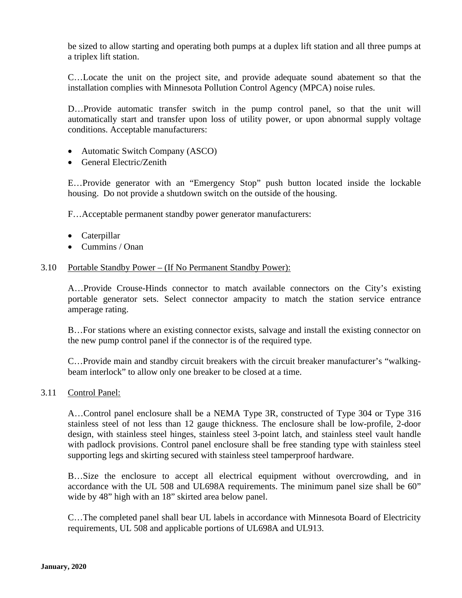be sized to allow starting and operating both pumps at a duplex lift station and all three pumps at a triplex lift station.

C…Locate the unit on the project site, and provide adequate sound abatement so that the installation complies with Minnesota Pollution Control Agency (MPCA) noise rules.

D…Provide automatic transfer switch in the pump control panel, so that the unit will automatically start and transfer upon loss of utility power, or upon abnormal supply voltage conditions. Acceptable manufacturers:

- Automatic Switch Company (ASCO)
- General Electric/Zenith

E…Provide generator with an "Emergency Stop" push button located inside the lockable housing. Do not provide a shutdown switch on the outside of the housing.

F…Acceptable permanent standby power generator manufacturers:

- Caterpillar
- Cummins / Onan

#### 3.10 Portable Standby Power – (If No Permanent Standby Power):

A…Provide Crouse-Hinds connector to match available connectors on the City's existing portable generator sets. Select connector ampacity to match the station service entrance amperage rating.

B…For stations where an existing connector exists, salvage and install the existing connector on the new pump control panel if the connector is of the required type.

C…Provide main and standby circuit breakers with the circuit breaker manufacturer's "walkingbeam interlock" to allow only one breaker to be closed at a time.

### 3.11 Control Panel:

A…Control panel enclosure shall be a NEMA Type 3R, constructed of Type 304 or Type 316 stainless steel of not less than 12 gauge thickness. The enclosure shall be low-profile, 2-door design, with stainless steel hinges, stainless steel 3-point latch, and stainless steel vault handle with padlock provisions. Control panel enclosure shall be free standing type with stainless steel supporting legs and skirting secured with stainless steel tamperproof hardware.

B…Size the enclosure to accept all electrical equipment without overcrowding, and in accordance with the UL 508 and UL698A requirements. The minimum panel size shall be 60" wide by 48" high with an 18" skirted area below panel.

C…The completed panel shall bear UL labels in accordance with Minnesota Board of Electricity requirements, UL 508 and applicable portions of UL698A and UL913.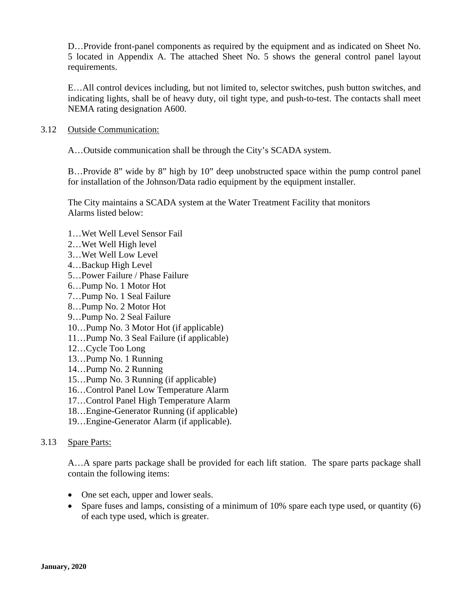D…Provide front-panel components as required by the equipment and as indicated on Sheet No. 5 located in Appendix A. The attached Sheet No. 5 shows the general control panel layout requirements.

E…All control devices including, but not limited to, selector switches, push button switches, and indicating lights, shall be of heavy duty, oil tight type, and push-to-test. The contacts shall meet NEMA rating designation A600.

### 3.12 Outside Communication:

A…Outside communication shall be through the City's SCADA system.

B…Provide 8" wide by 8" high by 10" deep unobstructed space within the pump control panel for installation of the Johnson/Data radio equipment by the equipment installer.

The City maintains a SCADA system at the Water Treatment Facility that monitors Alarms listed below:

- 1…Wet Well Level Sensor Fail
- 2…Wet Well High level
- 3…Wet Well Low Level
- 4…Backup High Level
- 5…Power Failure / Phase Failure
- 6…Pump No. 1 Motor Hot
- 7…Pump No. 1 Seal Failure
- 8…Pump No. 2 Motor Hot
- 9…Pump No. 2 Seal Failure
- 10…Pump No. 3 Motor Hot (if applicable)
- 11…Pump No. 3 Seal Failure (if applicable)
- 12…Cycle Too Long
- 13…Pump No. 1 Running
- 14…Pump No. 2 Running
- 15…Pump No. 3 Running (if applicable)
- 16…Control Panel Low Temperature Alarm
- 17…Control Panel High Temperature Alarm
- 18…Engine-Generator Running (if applicable)
- 19…Engine-Generator Alarm (if applicable).

### 3.13 Spare Parts:

A…A spare parts package shall be provided for each lift station. The spare parts package shall contain the following items:

- One set each, upper and lower seals.
- Spare fuses and lamps, consisting of a minimum of 10% spare each type used, or quantity (6) of each type used, which is greater.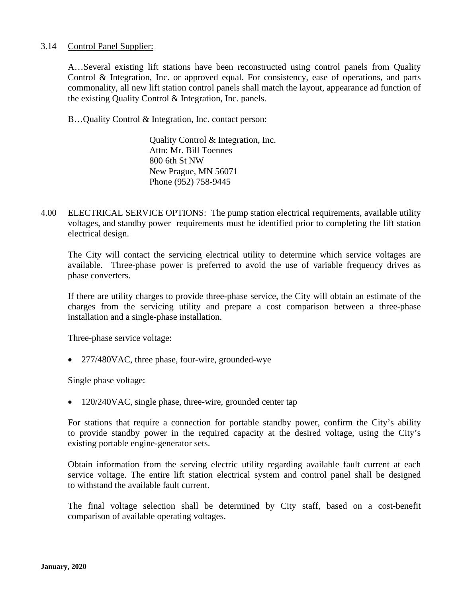### 3.14 Control Panel Supplier:

A…Several existing lift stations have been reconstructed using control panels from Quality Control & Integration, Inc. or approved equal. For consistency, ease of operations, and parts commonality, all new lift station control panels shall match the layout, appearance ad function of the existing Quality Control & Integration, Inc. panels.

B…Quality Control & Integration, Inc. contact person:

Quality Control & Integration, Inc. Attn: Mr. Bill Toennes 800 6th St NW New Prague, MN 56071 Phone (952) 758-9445

4.00 ELECTRICAL SERVICE OPTIONS: The pump station electrical requirements, available utility voltages, and standby power requirements must be identified prior to completing the lift station electrical design.

The City will contact the servicing electrical utility to determine which service voltages are available. Three-phase power is preferred to avoid the use of variable frequency drives as phase converters.

If there are utility charges to provide three-phase service, the City will obtain an estimate of the charges from the servicing utility and prepare a cost comparison between a three-phase installation and a single-phase installation.

Three-phase service voltage:

• 277/480VAC, three phase, four-wire, grounded-wye

Single phase voltage:

• 120/240VAC, single phase, three-wire, grounded center tap

For stations that require a connection for portable standby power, confirm the City's ability to provide standby power in the required capacity at the desired voltage, using the City's existing portable engine-generator sets.

Obtain information from the serving electric utility regarding available fault current at each service voltage. The entire lift station electrical system and control panel shall be designed to withstand the available fault current.

The final voltage selection shall be determined by City staff, based on a cost-benefit comparison of available operating voltages.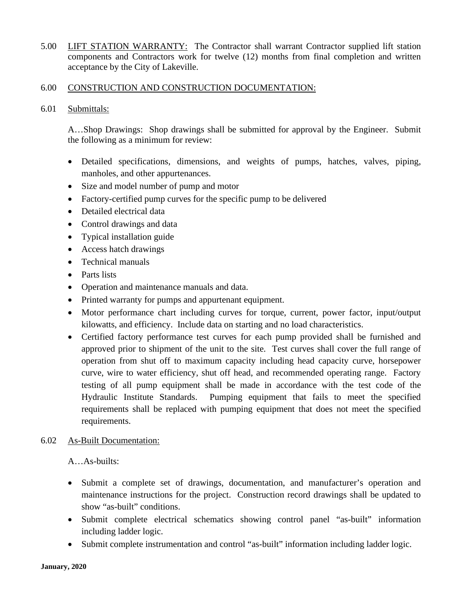5.00 LIFT STATION WARRANTY: The Contractor shall warrant Contractor supplied lift station components and Contractors work for twelve (12) months from final completion and written acceptance by the City of Lakeville.

#### 6.00 CONSTRUCTION AND CONSTRUCTION DOCUMENTATION:

6.01 Submittals:

A…Shop Drawings: Shop drawings shall be submitted for approval by the Engineer. Submit the following as a minimum for review:

- Detailed specifications, dimensions, and weights of pumps, hatches, valves, piping, manholes, and other appurtenances.
- Size and model number of pump and motor
- Factory-certified pump curves for the specific pump to be delivered
- Detailed electrical data
- Control drawings and data
- Typical installation guide
- Access hatch drawings
- Technical manuals
- Parts lists
- Operation and maintenance manuals and data.
- Printed warranty for pumps and appurtenant equipment.
- Motor performance chart including curves for torque, current, power factor, input/output kilowatts, and efficiency. Include data on starting and no load characteristics.
- Certified factory performance test curves for each pump provided shall be furnished and approved prior to shipment of the unit to the site. Test curves shall cover the full range of operation from shut off to maximum capacity including head capacity curve, horsepower curve, wire to water efficiency, shut off head, and recommended operating range. Factory testing of all pump equipment shall be made in accordance with the test code of the Hydraulic Institute Standards. Pumping equipment that fails to meet the specified requirements shall be replaced with pumping equipment that does not meet the specified requirements.

### 6.02 As-Built Documentation:

A…As-builts:

- Submit a complete set of drawings, documentation, and manufacturer's operation and maintenance instructions for the project. Construction record drawings shall be updated to show "as-built" conditions.
- Submit complete electrical schematics showing control panel "as-built" information including ladder logic.
- Submit complete instrumentation and control "as-built" information including ladder logic.